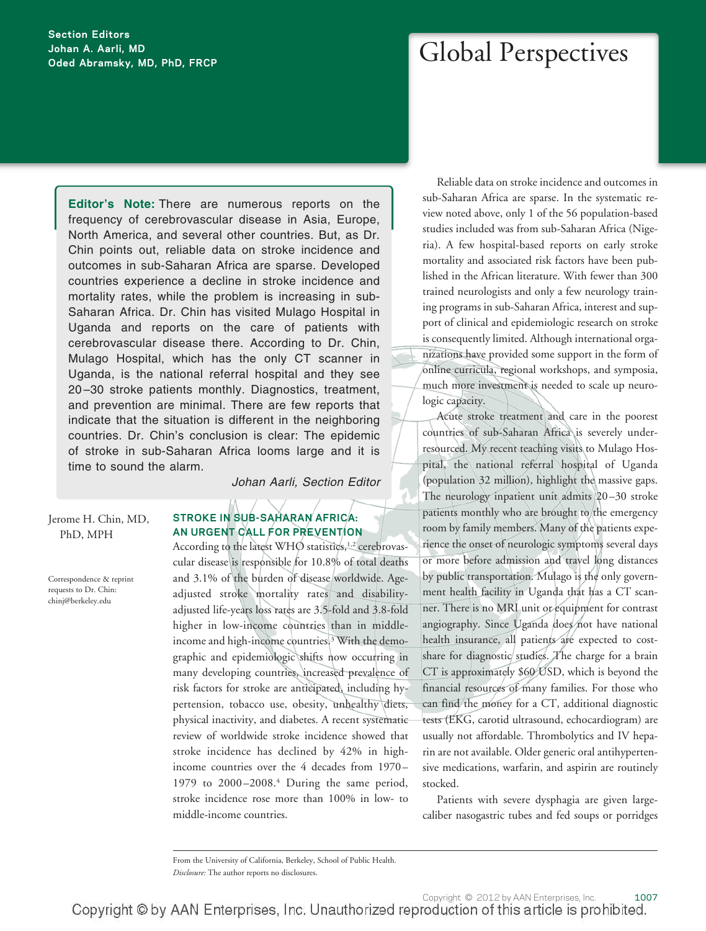### **Section Editors Johan A. Aarli, MD Oded Abramsky, MD, PhD, FRCP**

Global Perspectives

**Editor's Note:** There are numerous reports on the frequency of cerebrovascular disease in Asia, Europe, North America, and several other countries. But, as Dr. Chin points out, reliable data on stroke incidence and outcomes in sub-Saharan Africa are sparse. Developed countries experience a decline in stroke incidence and mortality rates, while the problem is increasing in sub-Saharan Africa. Dr. Chin has visited Mulago Hospital in Uganda and reports on the care of patients with cerebrovascular disease there. According to Dr. Chin, Mulago Hospital, which has the only CT scanner in Uganda, is the national referral hospital and they see 20 –30 stroke patients monthly. Diagnostics, treatment, and prevention are minimal. There are few reports that indicate that the situation is different in the neighboring countries. Dr. Chin's conclusion is clear: The epidemic of stroke in sub-Saharan Africa looms large and it is time to sound the alarm.

*Johan Aarli, Section Editor*

Jerome H. Chin, MD, PhD, MPH

Correspondence & reprint requests to Dr. Chin: chinj@berkeley.edu

### **STROKE IN SUB-SAHARAN AFRICA: AN URGENT CALL FOR PREVENTION**

According to the latest WHO statistics,<sup>1,2</sup> cerebrovascular disease is responsible for 10.8% of total deaths and 3.1% of the burden of disease worldwide. Ageadjusted stroke mortality rates and disabilityadjusted life-years loss rates are 3.5-fold and 3.8-fold higher in low-income countries than in middleincome and high-income countries.3 With the demographic and epidemiologic shifts now occurring in many developing countries, increased prevalence of risk factors for stroke are anticipated, including hypertension, tobacco use, obesity, unhealthy diets, physical inactivity, and diabetes. A recent systematic review of worldwide stroke incidence showed that stroke incidence has declined by 42% in highincome countries over the 4 decades from 1970-1979 to 2000 –2008.4 During the same period, stroke incidence rose more than 100% in low- to middle-income countries.

Reliable data on stroke incidence and outcomes in sub-Saharan Africa are sparse. In the systematic review noted above, only 1 of the 56 population-based studies included was from sub-Saharan Africa (Nigeria). A few hospital-based reports on early stroke mortality and associated risk factors have been published in the African literature. With fewer than 300 trained neurologists and only a few neurology training programs in sub-Saharan Africa, interest and support of clinical and epidemiologic research on stroke is consequently limited. Although international organizations have provided some support in the form of online curricula, regional workshops, and symposia, much more investment is needed to scale up neurologic capacity.

Acute stroke treatment and care in the poorest countries of sub-Saharan Africa is severely underresourced. My recent teaching visits to Mulago Hospital, the national referral hospital of Uganda (population 32 million), highlight the massive gaps. The neurology inpatient unit admits 20 –30 stroke patients monthly who are brought to the emergency room by family members. Many of the patients experience the onset of neurologic symptoms several days or more before admission and travel long distances by public transportation. Mulago is the only government health facility in Uganda that has a CT scanner. There is no MRI unit or equipment for contrast angiography. Since Uganda does not have national health insurance, all patients are expected to costshare for diagnostic studies. The charge for a brain CT is approximately \$60 USD, which is beyond the financial resources of many families. For those who can find the money for a CT, additional diagnostic tests (EKG, carotid ultrasound, echocardiogram) are usually not affordable. Thrombolytics and IV heparin are not available. Older generic oral antihypertensive medications, warfarin, and aspirin are routinely stocked.

Patients with severe dysphagia are given largecaliber nasogastric tubes and fed soups or porridges

From the University of California, Berkeley, School of Public Health.

*Disclosure:* The author reports no disclosures.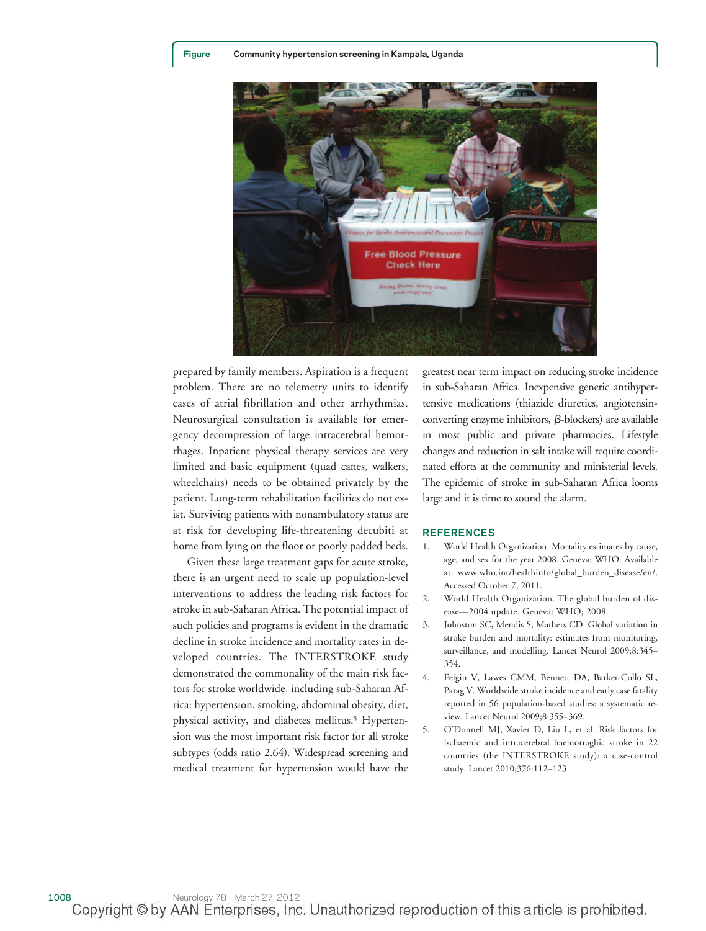

prepared by family members. Aspiration is a frequent problem. There are no telemetry units to identify cases of atrial fibrillation and other arrhythmias. Neurosurgical consultation is available for emergency decompression of large intracerebral hemorrhages. Inpatient physical therapy services are very limited and basic equipment (quad canes, walkers, wheelchairs) needs to be obtained privately by the patient. Long-term rehabilitation facilities do not exist. Surviving patients with nonambulatory status are at risk for developing life-threatening decubiti at home from lying on the floor or poorly padded beds.

Given these large treatment gaps for acute stroke, there is an urgent need to scale up population-level interventions to address the leading risk factors for stroke in sub-Saharan Africa. The potential impact of such policies and programs is evident in the dramatic decline in stroke incidence and mortality rates in developed countries. The INTERSTROKE study demonstrated the commonality of the main risk factors for stroke worldwide, including sub-Saharan Africa: hypertension, smoking, abdominal obesity, diet, physical activity, and diabetes mellitus.<sup>5</sup> Hypertension was the most important risk factor for all stroke subtypes (odds ratio 2.64). Widespread screening and medical treatment for hypertension would have the

greatest near term impact on reducing stroke incidence in sub-Saharan Africa. Inexpensive generic antihypertensive medications (thiazide diuretics, angiotensinconverting enzyme inhibitors,  $\beta$ -blockers) are available in most public and private pharmacies. Lifestyle changes and reduction in salt intake will require coordinated efforts at the community and ministerial levels. The epidemic of stroke in sub-Saharan Africa looms large and it is time to sound the alarm.

#### **REFERENCES**

- World Health Organization. Mortality estimates by cause, age, and sex for the year 2008. Geneva: WHO. Available at: www.who.int/healthinfo/global\_burden\_disease/en/. Accessed October 7, 2011.
- 2. World Health Organization. The global burden of disease—2004 update. Geneva: WHO; 2008.
- 3. Johnston SC, Mendis S, Mathers CD. Global variation in stroke burden and mortality: estimates from monitoring, surveillance, and modelling. Lancet Neurol 2009;8:345– 354.
- 4. Feigin V, Lawes CMM, Bennett DA, Barker-Collo SL, Parag V. Worldwide stroke incidence and early case fatality reported in 56 population-based studies: a systematic review. Lancet Neurol 2009;8:355–369.
- 5. O'Donnell MJ, Xavier D, Liu L, et al. Risk factors for ischaemic and intracerebral haemorraghic stroke in 22 countries (the INTERSTROKE study): a case-control study. Lancet 2010;376:112–123.